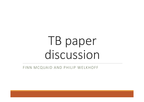# TB paper discussion

FINN MCQUAID AND PHILIP WELKHOFF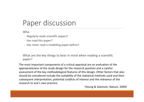## Paper discussion

**Who** 

- Regularly reads scientific papers?
- Has read this paper?
- Has never read <sup>a</sup> modelling paper before?

What are the key things to bear in mind when reading <sup>a</sup> scientific paper?

The most important components of <sup>a</sup> critical appraisal are an evaluation of the *appropriateness* of the study design for the *research question* and <sup>a</sup> careful assessment of the key *methodological* features of this design. Other factors that also should be considered include the *suitability* of the statistical methods used and their subsequent *interpretation*, potential *conflicts* of interest and the *relevance* of the research to one's own practice.

(Young & Solomon, Nature, 2009)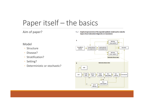## Paper itself – the basics

#### Aim of paper?

Fig. 1. Graphical representation of the expanded epidemic model used to study the impact of new tuberculosis diagnostics on transmission

Model

- Structure
- Disease?
- Stratification?
- Setting?
- Deterministic or stochastic?

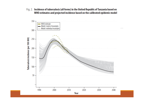Fig. 2. Incidence of tuberculosis (all forms) in the United Republic of Tanzania based on WHO estimates and projected incidence based on the calibrated epidemic model

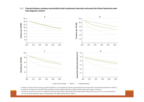

Fig. 3. Projected incidence, prevalence and mortality trends for pulmonary tuberculosis and annual risk of latent tuberculosis under three diagnostic scenarios<sup>a</sup>

- Sputum smear microscopy<sup>a</sup> - New tool<sup>b</sup> - Combined intervention<sup>c</sup>

<sup>a</sup> Scenario I: sputum smear microscopy under the reference case operational context (corresponding to the mode values of operational parameters in Table 2).

- <sup>b</sup> Scenario II: use of the new tool (with 70% sensitivity for smear-negative disease) to replace sputum smear microscopy in Scenario I.
- <sup>c</sup> Scenario III: use of the new tool in combination with other interventions that shorten the average patient delay and increase access to care and treatment success rate (with parameter values corresponding to the 90% posterior limits in Table 2).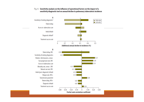#### Fig. 4. Sensitivity analysis on the influence of operational factors on the impact of a sensitivity diagnostic tool on annual decline in pulmonary tuberculosis incidence

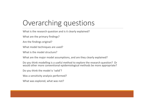# Overarching questions

What is the research question and is it clearly explained?

What are the primary findings?

Are the findings original?

What model techniques are used?

What is the model structure?

What are the major model assumptions, and are they clearly explained?

Do you think modelling is <sup>a</sup> useful method to explore the research question? Or would other more conventional epidemiological methods be more appropriate?

Do you think the model is 'valid'?

Was a sensitivity analysis performed?

What was explored, what was not?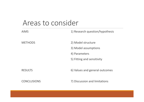#### Areas to consider

| <b>AIMS</b>        | 1) Research question/hypothesis                                                           |
|--------------------|-------------------------------------------------------------------------------------------|
| <b>METHODS</b>     | 2) Model structure<br>3) Model assumptions<br>4) Parameters<br>5) Fitting and sensitivity |
| <b>RESULTS</b>     | 6) Values and general outcomes                                                            |
| <b>CONCLUSIONS</b> | 7) Discussion and limitations                                                             |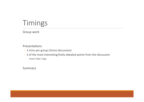# Timings

Group work

Presentations

- 3 mins per group (2mins discussion)
- 3 of the most interesting/hotly debated points from the discussion
	- Good / Bad / Ugly

Summary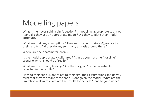# Modelling papers

What is their overarching aim/question? Is modelling appropriate to answer it and did they use an appropriate model? Did they validate their model structure?

What are their key assumptions? The ones that will make <sup>a</sup> *difference* to their results… Did they do any sensitivity analysis around these?

Where are their parameters from?

Is the model appropriately calibrated? As in do you trust the "baseline" scenario which should be "reality"

What are the primary findings? Are they original? Is the uncertainty reflected in the results?

How do their conclusions relate to their aim, their assumptions and do you trust that they can make these conclusions given the model? What are the limitations? How relevant are the results to the field? (and to your work?)